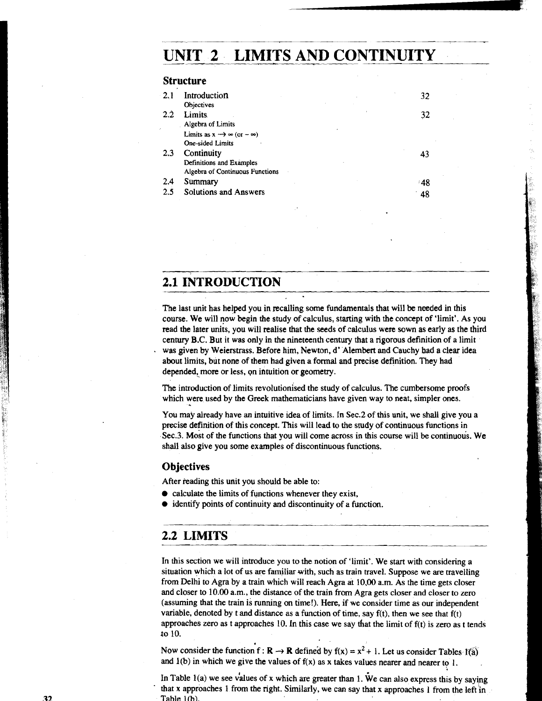# **UNIT 2 LIMITS AND CONTINUITY**

#### **Structure**

| 2.1              | Introduction                                     |  | 32  |
|------------------|--------------------------------------------------|--|-----|
|                  | <b>Objectives</b>                                |  |     |
| $2.\overline{2}$ | <b>Limits</b>                                    |  | 32  |
|                  | Algebra of Limits                                |  |     |
|                  | Limits as $x \rightarrow \infty$ (or $-\infty$ ) |  |     |
|                  | One-sided Limits                                 |  |     |
| 2.3              | Continuity                                       |  |     |
|                  | Definitions and Examples                         |  |     |
|                  | Algebra of Continuous Functions                  |  |     |
| 2.4              | Summary                                          |  | -48 |
| 2.5              | Solutions and Answers                            |  | 48  |
|                  |                                                  |  |     |

# **2.1 INTRODUCTION**

The last unit has helped you in recalling some fundamentals that will be needed in this course. We will now begin the study of calculus, starting with the concept of 'limit'. As you read the later units, you will realise that the seeds of calculus were sown as early as the third century B.C. But it was only in the nineteenth century that a rigorous definition of a limit was given by Weierstrass. Before him, Newton, d' Alembert and Cauchy had a clear idea about limits, but none of them had given a formal and precise definition. They had depended, more or less, on intuition or geometry.

The introduction of limits revolutionised the study of calculus. The cumbersome proofs which were used by the **Greek** mathematicians have given way to neat, simpler ones.

You may already have an intuitive idea of limits. In Sec.2 of this unit, we shall give you a precise definition of this concept. This will lead to the study of continuous functions in Sec.3. Most of the functions that you will come across in this course will be continuous. We shall also give you some examples of discontinuous functions.

### **Objectives**

After reading this unit you should be able to:

- $\bullet$  calculate the limits of functions whenever they exist,
- identify points of continuity and discontinuity of a function.

### **2.2 LIMITS**

In this section we will introduce you to the notion of 'limit'. We start with considering a situation which a lot of us are familiar with, such as train travel. Suppose we are travelling from Delhi to Agra by a train which will reach Agra at 10,00 a.m. As the time gets closer and closer to 10.00 a.m., the distance of the train from Agra gets closer and closer to zero (assuming that the train is running on time!). Here, if we consider time as our independent variable, denoted by t and distance as a function of time, say  $f(t)$ , then we see that  $f(t)$ approaches zero as t approaches 10. In this case we say that the limit of f(t) is zero as t tends to 10.

Now consider the function  $f : \mathbf{R} \to \mathbf{R}$  defined by  $f(x) = x^2 + 1$ . Let us consider Tables  $f(\overline{a})$ and  $l(b)$  in which we give the values of  $f(x)$  as x takes values nearer and nearer to 1.

In Table  $l(a)$  we see values of x which are greater than 1. We can also express this by saying that **x** approaches 1 from the right. Similarly, we can say that x approaches 1 from the left in **Tahla 1 fhl**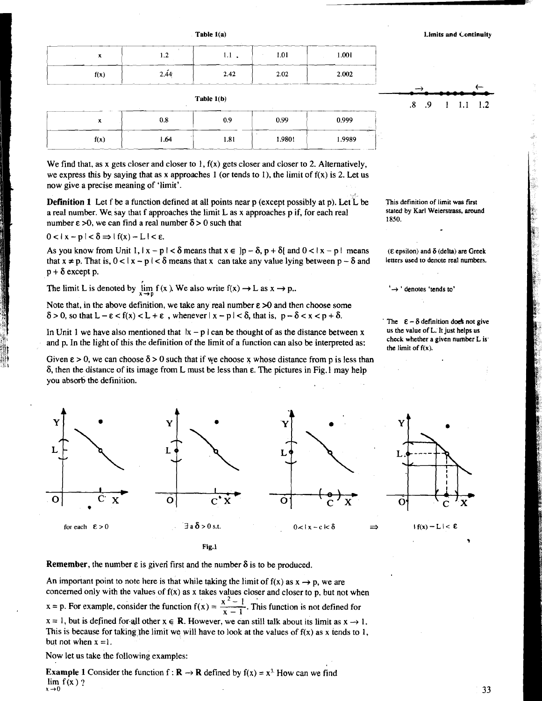**Table 1(a) Limits and Continuity Limits and Continuity** 

 $1.1$ 

 $\mathbf{I}$ 

 $1.2$ 

|      | 1.2  | $1.1$ , | 1.01 | 1.001 |
|------|------|---------|------|-------|
| f(x) | 2.44 | 2.42    | 2.02 | 2.002 |

**Table l(b)** 

|      | 0.8  | 0.9  | 0.99   | 0.999  |
|------|------|------|--------|--------|
| f(x) | 1.64 | 1.81 | 1.9801 | 1.9989 |

We find that, as x gets closer and closer to 1,  $f(x)$  gets closer and closer to 2. Alternatively, we express this by saying that as x approaches 1 (or tends to 1), the limit of  $f(x)$  is 2. Let us now give a precise meaning of 'limit'.

**Definition 1** Let f be a function defined at all points near p (except possibly at p). Let  $\tilde{L}$  be a real number. We say that f approaches the limit L as x approaches p if, for each real number  $\epsilon > 0$ , we can find a real number  $\delta > 0$  such that

$$
0 < |x - p| < \delta \Rightarrow |f(x) - L| < \varepsilon.
$$

As you know from Unit 1,  $|x - p| < \delta$  means that  $x \in ]p - \delta, p + \delta[$  and  $0 < |x - p|$  means that  $x \neq p$ . That is,  $0 < |x - p| < \delta$  means that x can take any value lying between  $p - \delta$  and  $p + \delta$  except p.

The limit L is denoted by  $\lim_{x \to p} f(x)$ . We also write  $f(x) \to L$  as  $x \to p$ .

Note that, in the above definition, we take any real number  $\epsilon > 0$  and then choose some  $\delta > 0$ , so that  $L - \epsilon < f(x) < L + \epsilon$ , whenever  $|x - p| < \delta$ , that is,  $p - \delta < x < p + \delta$ .

In Unit 1 we have also mentioned that  $|x - p|$  can be thought of as the distance between x and p. In the light of this the definition of the limit of a function can also be interpreted as:

Given  $\epsilon > 0$ , we can choose  $\delta > 0$  such that if we choose x whose distance from p is less than 6, then the distance of its image from L must be less than **E.** The pictures in Fig. 1 may help you absorb the definition.

**This definition of limit was fust stated by Karl Weierstrass, around 1850.** 

 $\overline{\mathbf{8}}$  $\overline{.9}$ 

**(E epsilon) and 6 (delta) are Greek**  letters used to denote real numbers.

 $\rightarrow$  ' denotes 'tends to'

The  $\epsilon - \delta$  definition doe's not give us the value of L. It just helps us **check whether a given number L is' the limit of f(x).** 



**Remember,** the number  $\varepsilon$  is given first and the number  $\delta$  is to be produced.

An important point to note here is that while taking the limit of  $f(x)$  as  $x \rightarrow p$ , we are concerned only with the values of  $f(x)$  as x takes values closer and closer to p, but not when  $x = p$ . For example, consider the function  $f(x) = \frac{x^2-1}{x-1}$ . This function is not defined for  $x = 1$ , but is defined for all other  $x \in \mathbb{R}$ . However, we can still talk about its limit as  $x \to 1$ . This is because for taking the limit we will have to look at the values of  $f(x)$  as x tends to 1, but not when  $x = 1$ .

Now let us take the following examples:

**Example 1** Consider the function  $f : \mathbf{R} \to \mathbf{R}$  defined by  $f(x) = x^3$ . How can we find  $\lim_{x \to \infty} f(x)$ ?  $x \rightarrow 0$ 

33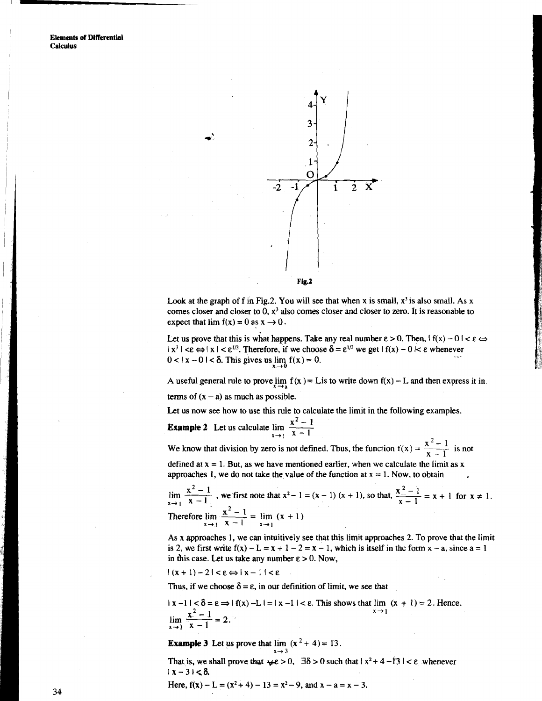

Look at the graph of f in Fig.2. You will see that when x is small,  $x^3$  is also small. As x comes closer and closer to **0,** x3 also comes closer and closer to zero. It is reasonable to expect that  $\lim f(x) = 0$  as  $x \to 0$ .

Let us prove that this is what happens. Take any real number  $\varepsilon > 0$ . Then,  $|f(x) - 0| < \varepsilon \Leftrightarrow$ Let us prove that this is what happens. Take any ical number  $\epsilon > 0$ . Then,  $\Gamma(x) = 0$  |  $\times$  |  $x^3$  |  $\leq \epsilon \Rightarrow |x| < \epsilon^{1/3}$ . Therefore, if we choose  $\delta = \epsilon^{1/3}$  we get  $|f(x) - 0| < \epsilon$  whenever  $0 < |x - 0| < \delta$ . This g

A useful general rule to prove  $\lim_{x \to a} f(x) = L$  is to write down  $f(x) - L$  and then express it in terms of  $(x - a)$  as much as possible.  $\lim_{x\to 0} f(x) = 0.$ <br>  $\lim_{x\to a} f(x) = \text{Lis to w}$ solis<br>
soliding<br>  $\lim_{x\to 1} \frac{x^2 - 1}{x - 1}$   $\lim_{x\to 1} \frac{x^2 - 1}{x - 1}$ o is not defined. Thus

Let us now see how to use this rule to calculate the limit in the following examples.

**Example 2** Let us calculate  $\lim_{x \to 1} \frac{x^2 - 1}{x - 1}$  $x - 1$ 

We know that division by zero is not defined. Thus, the function  $f(x) = \frac{x^2-1}{x-1}$  is not

defined at  $x = 1$ . But, as we have mentioned earlier, when we calculate the limit as  $x$ approaches 1, we do not take the value of the function at  $x = 1$ . Now, to obtain

**Example 2** Let us calculate  $\lim_{x \to 1} \frac{x-1}{x-1}$ <br>We know that division by zero is not defined. Thus, the function  $f(x) = \frac{x^2-1}{x-1}$  is not<br>defined at  $x = 1$ . But, as we have mentioned earlier, when we calculate the lim We know that division by zero is not de<br>defined at  $x = 1$ . But, as we have mention<br>approaches 1, we do not take the value<br> $\lim_{x \to 1} \frac{x^2 - 1}{x - 1}$ , we first note that  $x^2 - 1$ :<br>Therefore  $\lim_{x \to 1} \frac{x^2 - 1}{x - 1} = \lim_{x \to 1$ 

As x approaches 1, we can intuitively see that this limit approaches 2. To prove that the limit is 2, we first write  $f(x) - L = x + 1 - 2 = x - 1$ , which is itself in the form  $x - a$ , since  $a = 1$ in this case. Let us take any number  $\varepsilon > 0$ . Now,

 $|(x+1)-2|<\epsilon \Leftrightarrow |x-1|<\epsilon$ 

Thus, if we choose  $\delta = \varepsilon$ , in our definition of limit, we see that

$$
|x-1| < \delta = \varepsilon \Rightarrow |f(x) - L| = |x-1| < \varepsilon. \text{ This shows that } \lim_{x \to 1} (x + 1) = 2. \text{ Hence.}
$$
\n
$$
\lim_{x \to 1} \frac{x^2 - 1}{x - 1} = 2.
$$

**Example 3** Let us prove that  $\lim_{x \to 4} (x^2 + 4) = 13$ .  $x \rightarrow 3$ 

That is, we shall prove that  $\forall x \in \mathbf{0}$ ,  $\exists \delta > 0$  such that  $\{x^2 + 4 - 13\} < \epsilon$  whenever  $|x-3| < \delta$ .

Here, 
$$
f(x) - L = (x^2 + 4) - 13 = x^2 - 9
$$
, and  $x - a = x - 3$ .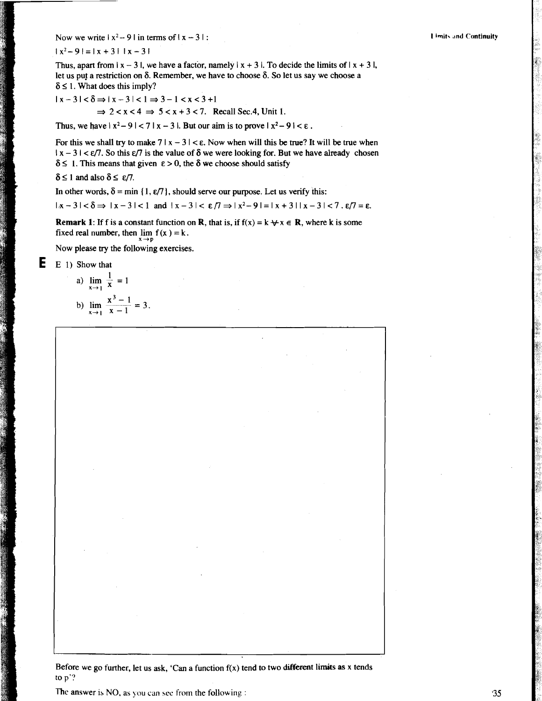Now we write  $|x^2-9|$  in terms of  $|x-3|$ :

 $|x^2-9|=|x+3| |x-3|$ 

Thus, apart from  $|x - 3|$ , we have a factor, namely  $|x + 3|$ . To decide the limits of  $|x + 3|$ , let us put a restriction on  $\delta$ . Remember, we have to choose  $\delta$ . So let us say we choose a  $\delta \leq 1$ . What does this imply?

 $|x-3| < \delta \Rightarrow |x-3| < 1 \Rightarrow 3-1 < x < 3+1$  $\Rightarrow$  2 < x < 4  $\Rightarrow$  5 < x + 3 < 7. Recall Sec.4, Unit 1.

Thus, we have  $|x^2-9| < 7 |x-3|$ . But our aim is to prove  $|x^2-9| < \varepsilon$ .

For this we shall try to make  $7 | x - 3 | < \varepsilon$ . Now when will this be true? It will be true when  $1 \times -3$   $1 < \varepsilon/7$ . So this  $\varepsilon/7$  is the value of  $\delta$  we were looking for. But we have already chosen  $\delta \leq 1$ . This means that given  $\epsilon > 0$ , the  $\delta$  we choose should satisfy

 $\delta \leq 1$  and also  $\delta \leq \varepsilon/7$ .

In other words,  $\delta = \min \{1, \varepsilon/7\}$ , should serve our purpose. Let us verify this:

 $|x-3| < \delta \Rightarrow |x-3| < 1$  and  $|x-3| < \varepsilon/7 \Rightarrow |x^2-9| = |x+3||x-3| < 7$ .  $\varepsilon/7 = \varepsilon$ .

**Remark 1:** If f is a constant function on **R**, that is, if  $f(x) = k \forall x \in \mathbb{R}$ , where k is some fixed real number, then  $\lim_{x \to p} f(x) = k$ .

Now please **try** the following exercises.

**E** E 1) Show that

a) 
$$
\lim_{x \to 1} \frac{1}{x} = 1
$$
  
b)  $\lim_{x \to 1} \frac{x^3 - 1}{x - 1} = 3$ .

Before we go further, let us ask, 'Can a function  $f(x)$  tend to two different limits as x tends to p'?

<sup>I</sup>The answer **15** NO, as **you** can **see** from the following :

#### **I ;wit\ .ind Continuity**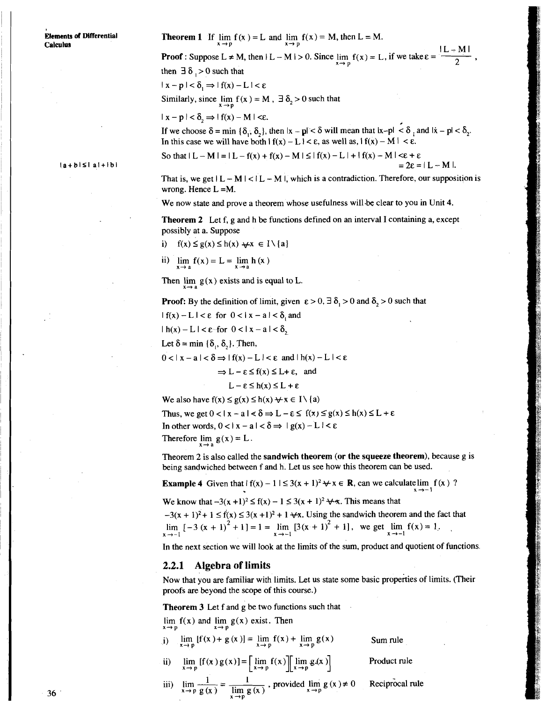**Eiements of Differential Theorem 1** If  $\lim_{x \to p} f(x) = L$  and  $\lim_{x \to p} f(x) = M$ , then  $L = M$ .

**Calculus**<br>**Proof**: Suppose  $L \neq M$ , then  $|L - M| > 0$ . Since  $\lim_{x \to p} f(x) = L$ , if we take  $\varepsilon = \frac{|L - M|}{2}$  $f(x) = L$ , if we take  $\varepsilon = \frac{|L - M|}{2}$ ,  $\frac{1}{2}$ , then  $\exists \delta$ , > 0 such that  $|x-p| < \delta$ <sub>1</sub>  $\Rightarrow$   $|f(x)-L| < \varepsilon$ 

Similarly, since  $\lim_{x \to p} f(x) = M$ ,  $\exists \delta_2 > 0$  such that

 $|x - p| < \delta$   $\Rightarrow$   $|f(x) - M| < \epsilon$ .

If we choose  $\delta = \min \{\delta_1, \delta_2\}$ , then  $|x - p| < \delta$  will mean that  $|x - p| < \delta_1$  and  $|x - p| < \delta_2$ . In this case we will have both  $f(x) - L$   $\leq \epsilon$ , as well as,  $f(x) - M$   $\leq \epsilon$ .

$$
\begin{aligned}\n\text{So that } |L - M| = |L - f(x) + f(x) - M| \leq |f(x) - L| + |f(x) - M| < \varepsilon + \varepsilon \\
&= 2\varepsilon = |L - M|.\n\end{aligned}
$$

That is, we get  $|L - M| < |L - M|$ , which is a contradiction. Therefore, our supposition is wrong. Hence  $L = M$ .

We now state and prove a theorem whose usefulness will-be clear to you in Unit 4.

**Theorem 2** Let f, g and h be functions defined on an interval I containing a, except possibly at a. Suppose

i)  $f(x) \le g(x) \le h(x) \quad \forall x \in I \setminus \{a\}$ 

$$
\lim_{x \to a} f(x) = L = \lim_{x \to a} h(x)
$$

Then  $\lim_{x \to b} g(x)$  exists and is equal to L.

**Proof:** By the definition of limit, given  $\varepsilon > 0$ ,  $\exists \delta_1 > 0$  and  $\delta_2 > 0$  such that

 $|f(x)-L| < \varepsilon$  for  $0 < |x-a| < \delta$ , and

 $\lfloor h(x)-L\rfloor < \varepsilon$  for  $0 < |x-a| < \delta$ ,

Let  $\delta$  = min { $\delta_1$ ,  $\delta_2$ }. Then,

 $0 < |x - a| < \delta \Rightarrow |f(x) - L| < \varepsilon$  and  $|h(x) - L| < \varepsilon$ 

$$
\Rightarrow
$$
 L –  $\epsilon \le f(x) \le L + \epsilon$ , and

$$
L - \varepsilon \leq h(x) \leq L + \varepsilon
$$

We also have  $f(x) \le g(x) \le h(x) + x \in I \setminus \{a\}$ 

Thus, we get  $0 < |x - a| < \delta \Rightarrow L - \varepsilon \leq f(x) \leq g(x) \leq h(x) \leq L + \varepsilon$ In other words,  $0 < |x - a| < \delta \Rightarrow |g(x) - L| < \varepsilon$ Therefore lim  $g(x) = L$ .

Theorem 2 is also called the sandwich theorem (or the squeeze theorem), because g is being sandwiched between f and h. Let us see how this theorem can be used.

**x+-1** 

**Example 4** Given that  $f(x) - 1 \le 3(x + 1)^2 \forall x \in \mathbb{R}$ , can we calculatelim  $f(x)$ ?<br>We know that  $-3(x + 1)^2 \le f(x) - 1 \le 3(x + 1)^2 \forall x$ . This means that We know that  $-3(x + 1)^2 \le f(x) - 1 \le 3(x + 1)^2 + \cdots$ . This means that<br> $-3(x + 1)^2 + 1 \le f(x) \le 3(x + 1)^2 + 1 + \cdots$ . Using the sandwich theorem and the fact that

 $\lim_{x \to -1}$   $[-3 (x + 1)^2 + 1] = 1 = \lim_{x \to -1} [3(x + 1)^2 + 1]$ , we get  $\lim_{x \to -1} f(x) = 1$ ,

In the next section we will look at the limits of the sum, product and quotient of functions.

#### **2.2.1 Algebra of limits**

Now that you are familiar with limits. Let us state some basic properties of limits. (Their proofs are beyond the scope of this course.)

Theorem 3 Let f and g be two functions such that

 $\lim_{x \to p} f(x)$  and  $\lim_{x \to p} g(x)$  exist. Then

| i) $\lim_{x \to p} [f(x) + g(x)] = \lim_{x \to p} f(x) + \lim_{x \to p} g(x)$ | Sum rule                                                                         |
|-------------------------------------------------------------------------------|----------------------------------------------------------------------------------|
| $\mathbf{u} = \mathbf{u} + \mathbf{u}$                                        | $\mathbf{D}$ and $\mathbf{D}$ and $\mathbf{D}$ and $\mathbf{D}$ and $\mathbf{D}$ |

- ii)  $\lim_{x \to p} [f(x)g(x)] = \lim_{x \to p} f(x) \lim_{x \to p} g(x)$  Product rule
- $\lim_{x \to p} \frac{1}{g(x)} = \frac{1}{\lim_{x \to p} g(x)}$ , provided  $\lim_{x \to p} g(x) \neq 0$  Reciprocal rule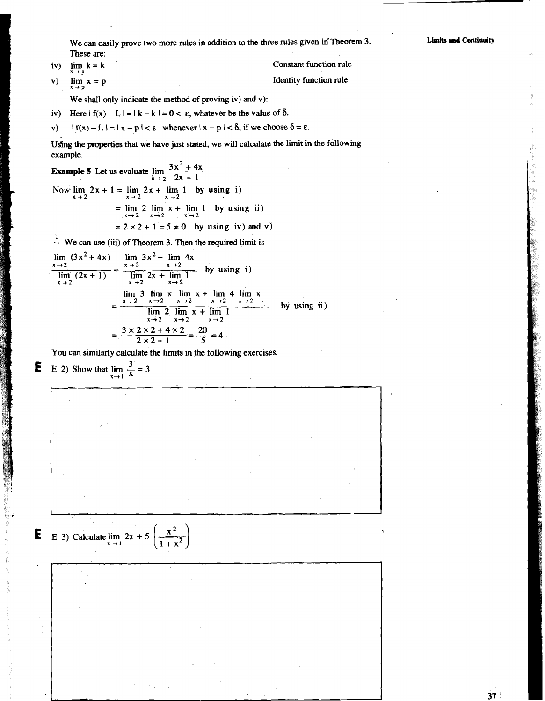We can easily prove two more rules in addition to the three rules given in Theorem 3. These are:

iv) 
$$
\lim_{x \to p} k = k
$$

Constant function rule Identity function rule

v)  $\lim x = p$  $x \rightarrow p$ 

We shall only indicate the method of proving iv) and v):

- 
- iv) Here  $| f(x) L | = | k k | = 0 < \varepsilon$ , whatever be the value of  $\delta$ .<br>
v)  $| f(x) L | = | x p | < \varepsilon$  whenever  $|x p | < \delta$ , if we choose  $\delta = \varepsilon$ .  $\mathbf{v}$

Using the **properties** that we have just stated, we will calculate the limit in the following example.

**Example 5** Let us evaluate  $\lim_{x \to 2} \frac{3x^2 + 4x}{2x + 1}$ Now  $\lim_{x \to 2} 2x + 1 = \lim_{x \to 2} 2x + \lim_{x \to 2} 1$  by using i)  $=\lim_{x\to 2} 2 \lim_{x\to 2} x + \lim_{x\to 2} 1$  by using ii)  $= 2 \times 2 + 1 = 5 \neq 0$  by using iv) and v)

 $\therefore$  We can use (iii) of Theorem 3. Then the required limit is

$$
\lim_{x \to 2} (3x^2 + 4x) = \lim_{x \to 2} 3x^2 + \lim_{x \to 2} 4x
$$
\n
$$
\lim_{x \to 2} (2x + 1) = \lim_{x \to 2} 2x + \lim_{x \to 2} 1
$$
\nby using i)  
\n
$$
= \frac{\lim_{x \to 2} 3 \lim_{x \to 2} x + \lim_{x \to 2} 4 \lim_{x \to 2} x}{\lim_{x \to 2} 3 \lim_{x \to 2} x + \lim_{x \to 2} 4 \lim_{x \to 2} x}
$$
\nby using ii)  
\n
$$
= \frac{3 \times 2 \times 2 + 4 \times 2}{2 \times 2 + 1} = \frac{20}{5} = 4
$$

You can similarly calculate the limits in the following exercises.

**E** E 2) Show that  $\lim_{x \to 1} \frac{3}{x} = 3$ 

 $\mathbf{E}$  **E** 3) Calculate lim

$$
2x + 5\left(\frac{x^2}{1+x^2}\right)
$$

 $x \rightarrow 1$ 

 $37$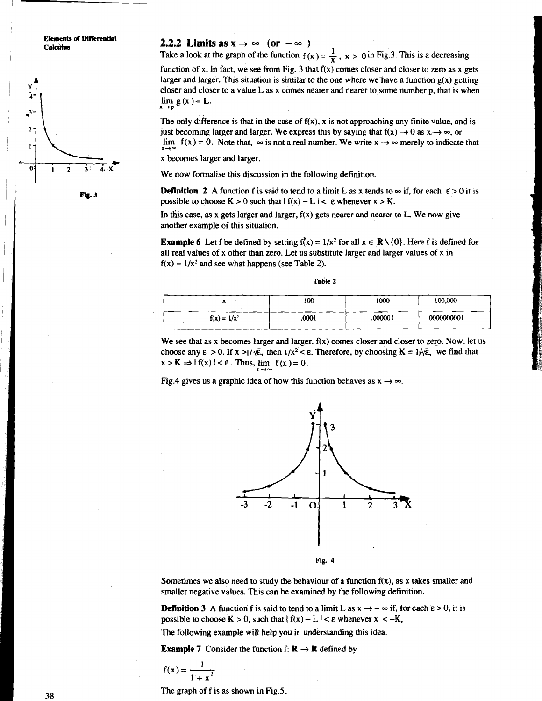**Elements of Differential** Calculus

Fig. 3

**2.2.2 Limits as**  $\mathbf{x} \to \infty$  **(or**  $-\infty$ **)** Take a look at the graph of the function  $f(x) = \frac{1}{x}$ ,  $x > 0$  in Fig.3. This is a decreasing function of x. In fact, we see from Fig. 3 that  $f(x)$  comes closer and closer to zero as x gets larger and larger. This situation is similar to the one where we have a function  $g(x)$  getting closer and closer to a value L as x comes nearer and nearer to some number p, that is when  $\lim g(x) = L$ .

The only difference is that in the case of  $f(x)$ , x is not approaching any finite value, and is just becoming larger and larger. We express this by saying that  $f(x) \rightarrow 0$  as  $x \rightarrow \infty$ , or lim  $f(x) = 0$ . Note that,  $\infty$  is not a real number. We write  $x \to \infty$  merely to indicate that

x becomes larger and larger.

**X-iP** 

**x-i-**

We now formalise this discussion in the following definition.

**Definition 2** A function f is said to tend to a limit L as x tends to  $\infty$  if, for each  $\epsilon > 0$  it is possible to choose  $K > 0$  such that  $|f(x) - L| < \varepsilon$  whenever  $x > K$ .

In this case, as x gets larger and larger,  $f(x)$  gets nearer and nearer to L. We now give another example of this situation.

**Example 6** Let f be defined by setting  $f(x) = 1/x^2$  for all  $x \in \mathbb{R} \setminus \{0\}$ . Here f is defined for all real values of x other than zero. Let us substitute larger and larger values of x in  $f(x) = 1/x^2$  and see what happens (see Table 2).

|                | 100   | 1000    | 100,000     |
|----------------|-------|---------|-------------|
| $f(x) = 1/x^2$ | .0001 | .000001 | .0000000001 |

We see that as x becomes larger and larger,  $f(x)$  comes closer and closer to zero. Now, let us choose any  $\varepsilon > 0$ . If  $x > 1/\sqrt{\varepsilon}$ , then  $1/x^2 < \varepsilon$ . Therefore, by choosing  $K = 1/\sqrt{\varepsilon}$ , we find that  $x > K \Rightarrow |f(x)| < \varepsilon$ . Thus, lim  $f(x) = 0$ .

Fig.4 gives us a graphic idea of how this function behaves as  $x \rightarrow \infty$ .

**X+=-** 



Sometimes we also need to study the behaviour of a function  $f(x)$ , as x takes smaller and smaller negative values. This can be examined by the following definition.

**Definition 3** A function f is said to tend to a limit L as  $x \rightarrow -\infty$  if, for each  $\varepsilon > 0$ , it is possible to choose  $K > 0$ , such that  $|f(x) - L| < \varepsilon$  whenever  $x < -K$ .

The following example will help you ir, understanding this idea.

**Example 7** Consider the function f:  $\mathbf{R} \rightarrow \mathbf{R}$  defined by

$$
f(x) = \frac{1}{1+x^2}
$$

The graph of f is as shown in Fig.5.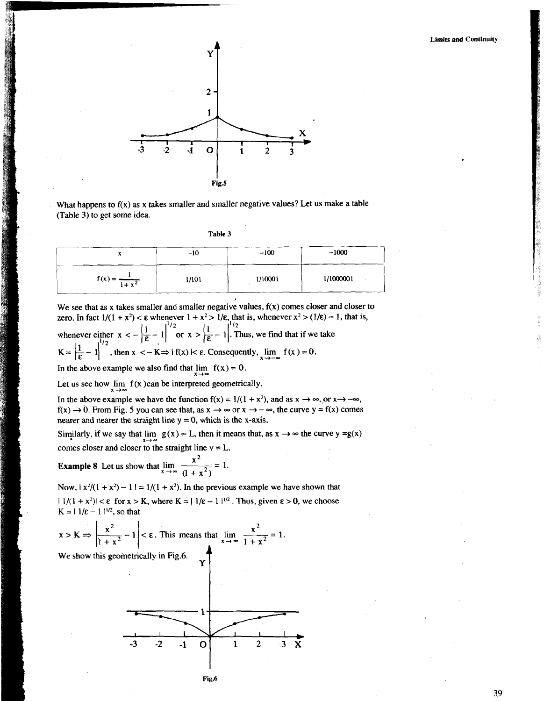

What happens to  $f(x)$  as x takes smaller and smaller negative values? Let us make a table (Table 3) to get some idea.

| ı |  | o | ۱<br>Ш<br>П | а |  |
|---|--|---|-------------|---|--|

|                            | $-10$ | $-100$  | $-1000$   |
|----------------------------|-------|---------|-----------|
| $f(x) = \frac{1}{1 + x^2}$ | 1/101 | 1/10001 | 1/1000001 |

We see that as x takes smaller and smaller negative values,  $f(x)$  comes closer and closer to zero. In fact  $1/(1 + x^2) < \varepsilon$  whenever  $1 + x^2 > 1/\varepsilon$ , that is, whenever  $x^2 > (1/\varepsilon) - 1$ , that is, whenever either  $x < -\left|\frac{1}{\epsilon} - 1\right|^{1/2}$  or  $x > \left|\frac{1}{\epsilon} - 1\right|^{1/2}$ . Thus, we find that if we take  $K = \left| \frac{1}{\epsilon} - 1 \right|^{1/2}$ , then  $x < -K \Rightarrow 1$  f(x)  $K \leq \epsilon$ . Consequently,  $\lim_{x \to -\infty} f(x) = 0$ .

In the above example we also find that  $\lim_{x \to \infty} f(x) = 0$ .

Let us see how  $\lim_{x \to \infty} f(x)$ can be interpreted geometrically.

In the above example we have the function  $f(x) = 1/(1 + x^2)$ , and as  $x \to \infty$ , or  $x \to -\infty$ ,  $f(x) \rightarrow 0$ . From Fig. 5 you can see that, as  $x \rightarrow \infty$  or  $x \rightarrow -\infty$ , the curve  $y = f(x)$  comes nearer and nearer the straight line  $y = 0$ , which is the x-axis.

Similarly, if we say that  $\lim_{x \to \infty} g(x) = L$ , then it means that, as  $x \to \infty$  the curve  $y = g(x)$ comes closer and closer to the straight line  $v = L$ .

**Example 8** Let us show that  $\lim_{x \to \infty} \frac{x^2}{(1 + x^2)} = 1$ .

Now,  $\vert x^2/(1 + x^2) - 1 \vert = 1/(1 + x^2)$ . In the previous example we have shown that  $|1/(1 + x^2)| < \varepsilon$  for  $x > K$ , where  $K = |1/\varepsilon - 1|^{1/2}$ . Thus, given  $\varepsilon > 0$ , we choose  $K = 11/\epsilon - 11^{1/2}$ , so that

x>K+ -- x 11<&Thismeansthat x-\$- lim =I. 1 + x2 We show this geometrically in Fig.6. **Y** t

Fig.6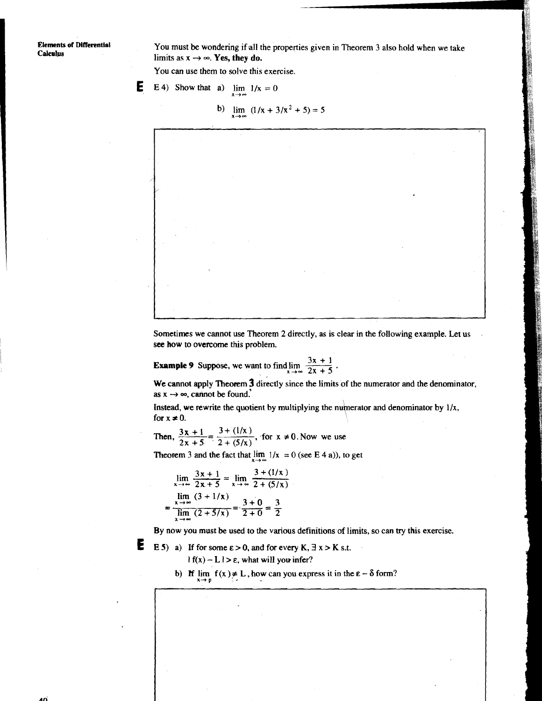**Elements of Differential Calculus** 

You must be wondering if all the properties given in Theorem 3 also hold when we take limits as  $x \rightarrow \infty$ . **Yes, they do.** 

You can use them to solve this exercise.

**E** 6.4) Show that a) 
$$
\lim_{x \to \infty} 1/x = 0
$$

b)  $\lim_{x \to 3/x^2+5}$  = 5



Sometimes we cannot use Theorem 2 directly, as is clear in the following example. Let us . see how to overcome this problem.

**Example 9** Suppose, we want to find  $\lim_{x \to \infty} \frac{3x + 1}{2x + 5}$ 

We cannot apply Theorem **3** directly since the limits of the numerator and the denominator, as  $x \rightarrow \infty$ , cannot be found.

Instead, we rewrite the quotient by multiplying the numerator and denominator by  $1/x$ , for  $x \neq 0$ .

Then,  $\frac{3x + 1}{2x + 5} = \frac{3 + (1/x)}{2 + (5/x)}$ , for  $x \neq 0$ . Now we use

Theorem 3 and the fact that  $\lim_{x \to \infty} 1/x = 0$  (see E 4 a)), to get

$$
\lim_{x \to \infty} \frac{3x + 1}{2x + 5} = \lim_{x \to \infty} \frac{3 + (1/x)}{2 + (5/x)}
$$
  
= 
$$
\frac{\lim_{x \to \infty} (3 + 1/x)}{\lim_{x \to \infty} (2 + 5/x)} = \frac{3 + 0}{2 + 0} = \frac{3}{2}
$$

By now you must be used to the various definitions of limits, so can **try** this exercise.

**1** 

E.

E 5) a) If for some  $\epsilon > 0$ , and for every K,  $\exists x > K$  s.t.  $| f(x) - L | > \varepsilon$ , what will you infer?

b) **H**  $\lim_{x \to p} f(x) \neq L$ , how can you express it in the  $\varepsilon - \delta$  form?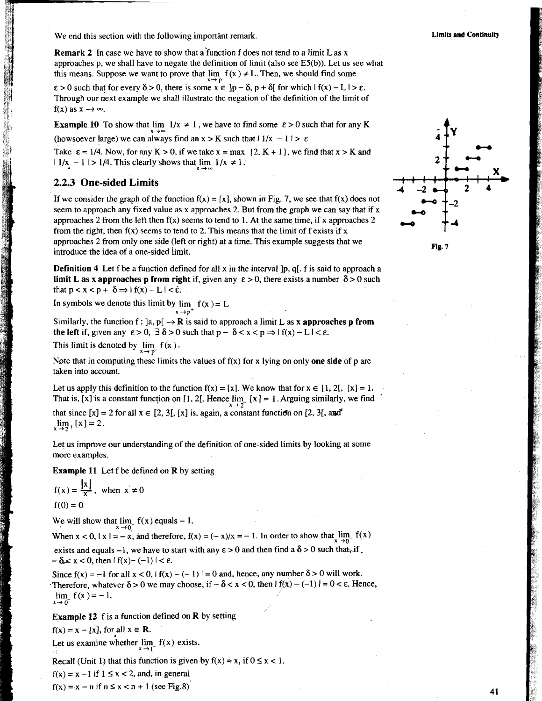We end this section with the following important remark. **Limits and Continuity Limits and Continuity Limits and Continuity** 

**Remark 2** In case we have to show that a'function f does not tend to a limit L as x approaches p, we shall have to negate the definition of limit (also see E5(b)). Let us see what this means. Suppose we want to prove that  $\lim f(x) \neq L$ . Then, we should find some

 $\epsilon > 0$  such that for every  $\delta > 0$ , there is some  $x \in ]p - \delta, p + \delta[$  for which  $| f(x) - L | > \epsilon$ . Through our next example we shall illustrate the negation of the definition of the limit of  $f(x)$  as  $x \rightarrow \infty$ .

**Example 10** To show that lim  $1/x \neq 1$ , we have to find some  $\varepsilon > 0$  such that for any K (howsoever large) we can always find an  $x > K$  such that  $1/x - 1$  i  $> \varepsilon$ 

Take  $\varepsilon = 1/4$ . Now, for any  $K > 0$ , if we take  $x = max$   $\{2, K + 1\}$ , we find that  $x > K$  and

 $11/x - 1$  | > 1/4. This clearly shows that  $\lim 1/x \neq 1$ .

### **<sup>b</sup>2.2.3 One-sided Limits**

If we consider the graph of the function  $f(x) = [x]$ , shown in Fig. 7, we see that  $f(x)$  does not seem to approach any fixed value as x approaches 2. But from the graph we can say that if x approaches 2 from the left then  $f(x)$  seems to tend to 1. At the same time, if x approaches 2 from the right, then  $f(x)$  seems to tend to 2. This means that the limit of f exists if x approaches 2 from only one side (left or right) at a time. This example suggests that we introduce the idea of a one-sided limit.

**Definition 4** Let f be a function defined for all x in the interval  $[p, q]$ . f is said to approach a **limit L as x approaches p from right** if, given any  $\varepsilon > 0$ , there exists a number  $\delta > 0$  such that  $p < x < p + \delta \Rightarrow |f(x) - L| < \hat{\epsilon}$ .

In symbols we denote this limit by  $\lim_{x \to p^+} f(x) = L$ 

Similarly, the function f:  $]a, p[ \rightarrow \mathbb{R} ]$  is said to approach a limit L as **x** approaches p from **the left** if, given any  $\varepsilon > 0$ ,  $\exists \delta > 0$  such that  $p - \delta < x < p \Rightarrow |f(x) - L| < \varepsilon$ .

This limit is denoted by  $\lim_{h \to 0} f(x)$ .

Note that in computing these limits the values of  $f(x)$  for x lying on only **one side** of p are taken into account.

Let us apply this definition to the function  $f(x) = [x]$ . We know that for  $x \in [1, 2]$ ,  $[x] = 1$ . That is, [x] is a constant function on [1, 2[. Hence  $\lim_{x \to 2^-}$  [x] = 1. Arguing similarly, we find

that since  $[x] = 2$  for all  $x \in [2, 3]$ ,  $[x]$  is, again, a constant function on  $[2, 3]$ , and  $\lim_{x \to 2^{+}} [x] = 2.$ 

Let us improve our understanding of the definition of one-sided limits by looking at some more examples.

**Example 11** Let f be defined on R by setting

$$
f(x) = \frac{|x|}{x}, \text{ when } x \neq 0
$$
  
f(0) = 0

We will show that  $\lim_{x \to 0} f(x)$  equals  $-1$ .

When  $x < 0$ ,  $|x| = -x$ , and therefore,  $f(x) = (-x)/x = -1$ . In order to show that  $\lim_{x \to 0^-} f(x)$ exists and equals -1, we have to start with any  $\varepsilon > 0$  and then find a  $\delta > 0$  such that<sub>ri</sub>f.  $-\delta \leq x < 0$ , then  $|f(x)-(-1)| < \varepsilon$ .

Since  $f(x) = -1$  for all  $x < 0$ ,  $f(x) - (-1) = 0$  and, hence, any number  $\delta > 0$  will work. Therefore, whatever  $\delta > 0$  we may choose, if  $-\delta < x < 0$ , then  $|f(x) - (-1)| = 0 < \epsilon$ . Hence,  $\lim_{x \to 0} f(x) = -1.$  $\mathbf{x} \rightarrow \mathbf{0}$ 

**Example 12** f is a function defined on R by setting

 $f(x) = x - [x]$ , for all  $x \in \mathbb{R}$ .

Let us examine whether  $\lim_{x \to 0} f(x)$  exists.

Recall (Unit 1) that this function is given by  $f(x) = x$ , if  $0 \le x < 1$ .

 $f(x) = x - 1$  if  $1 \le x < 2$ , and, in general

 $f(x) = x - n$  if  $n \le x < n + 1$  (see Fig.8)



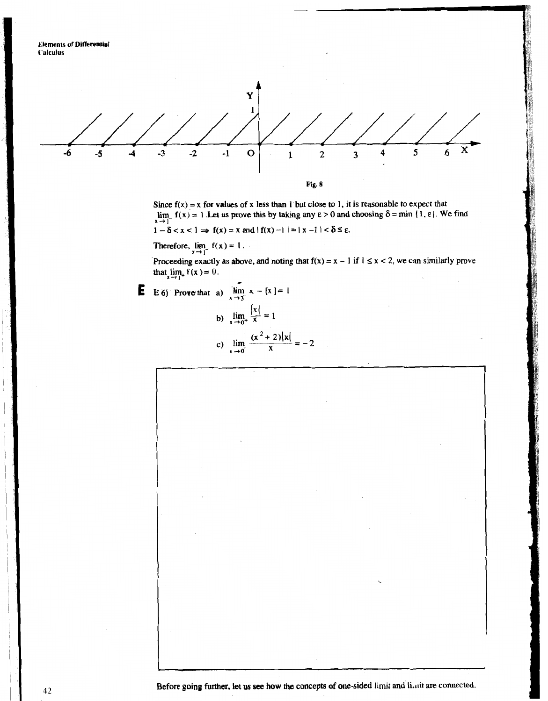

Since  $f(x) = x$  for values of x less than 1 but close to 1, it is reasonable to expect that lim  $f(x) = x$  for values of a loss diam 1 but close to 1, it is vealisable to expect that  $\lim_{x \to a} f(x) = 1$ . Let us prove this by taking any  $\varepsilon > 0$  and choosing  $\delta = \min \{1, \varepsilon\}$ . We find  $1 - \delta < x < 1 \Rightarrow f(x) = x$  and  $|f(x) - 1| = |x - 1| < \delta \le \epsilon$ .

Therefore,  $\lim_{x \to 1^-} f(x) = 1$ .

Proceeding exactly as above, and noting that  $f(x) = x - 1$  if  $1 \le x < 2$ , we can similarly prove that  $\lim_{x \to 1^+} f(x) = 0$ . -

E 6) Prove that a) 
$$
\lim_{x \to 3^{-}} x - [x] = 1
$$
  
b)  $\lim_{x \to 0^{+}} \frac{|x|}{x} = 1$   
c)  $\lim_{x \to 0^{-}} \frac{(x^2 + 2)|x|}{x} = -2$ 

Before going further, let us see how the concepts of one-sided limit and limit are connected.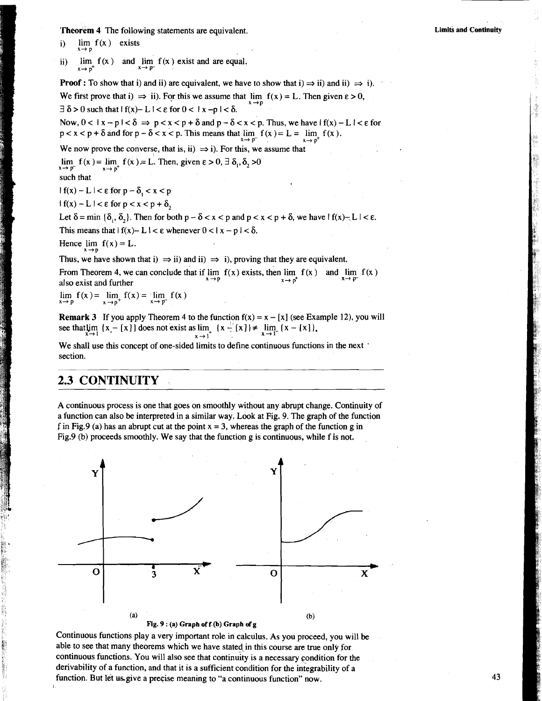**Theorem** 4 The following statements are equivalent.

i)  $\lim_{x \to 0} f(x)$  exists

**X+P** 

ii)  $\lim_{x \to p^+} f(x)$  and  $\lim_{x \to p^-} f(x)$  exist and are equal.

**Proof :** To show that i) and ii) are equivalent, we have to show that i)  $\Rightarrow$  ii) and ii)  $\Rightarrow$  i). We first prove that i)  $\Rightarrow$  ii). For this we assume that  $\lim f(x) = L$ . Then given  $\varepsilon > 0$ ,  $\exists \delta > 0$  such that  $|f(x)-L| < \epsilon$  for  $0 < |x-p| < \delta$ .

Now,  $0 < |x - p| < \delta \Rightarrow p < x < p + \delta$  and  $p - \delta < x < p$ . Thus, we have  $|f(x) - L| < \epsilon$  for  $p < x < p + \delta$  and for  $p - \delta < x < p$ . This means that  $\lim_{x \to \infty} f(x) = L = \lim_{x \to \infty} f(x)$ .

We now prove the converse, that is, ii)  $\Rightarrow$  i). For this, we assume that

lim  $f(x) = \lim_{x \to 0^+} f(x) = L$ . Then, given  $\varepsilon > 0$ ,  $\exists \delta_0$ ,  $\delta_0 > 0$ 

such that

 $|f(x) - L| < \varepsilon$  for  $p - \delta$ ,  $\lt x \lt p$ 

 $|f(x) - L| < \varepsilon$  for  $p < x < p + \delta$ ,

Let  $\delta$  = min  $\{\delta_1, \delta_2\}$ . Then for both  $p - \delta < x < p$  and  $p < x < p + \delta$ , we have  $|f(x)-L| < \epsilon$ .<br>This means that  $|f(x)-L| < \epsilon$  whenever  $0 < |x - p| < \delta$ .

Hence  $\lim_{x \to p} f(x) = L$ .

Thus, we have shown that i)  $\Rightarrow$  ii) and ii)  $\Rightarrow$  i), proving that they are equivalent.

From Theorem 4, we can conclude that if  $\lim_{x \to a} f(x)$  exists, then  $\lim_{x \to a} f(x)$  and  $\lim_{x \to a} f(x)$  $a$ lso exist and further

 $\lim_{x \to p} f(x) = \lim_{x \to p^+} f(x) = \lim_{x \to p^-} f(x)$ 

**Remark 3** If you apply Theorem 4 to the function  $f(x) = x - [x]$  (see Example 12), you will see that  $\lim_{x \to 1} \{x - [x]\}$  does not exist as  $\lim_{x \to 1^+} \{x - [x]\} \neq \lim_{x \to 1^-} \{x - [x]\}$ ,

We shall use this concept of one-sided limits to define continuous functions in the next section.

# **2.3 CONTINUITY**

A continuous process is one that goes on smoothly without any abrupt change. Continuity of a function can also be interpreted in a similar way. Look at Fig. 9. The graph of the function f in Fig.9 (a) has an abrupt cut at the point  $x = 3$ , whereas the graph of the function g in Fig.9 (b) proceeds smoothly. We say that the function g is continuous, while f is not.



Continuous functions play a very important role in calculus. As you proceed, you will be able to see that many theorems which we have stated in this course are true only for continuous functions. You will also see that continuity is a necessary condition for the derivability of a function, and that it is a sufficient condition for the integrability of a function. But let us give a precise meaning to "a continuous function" now.

**Limiti and Continuity** 

43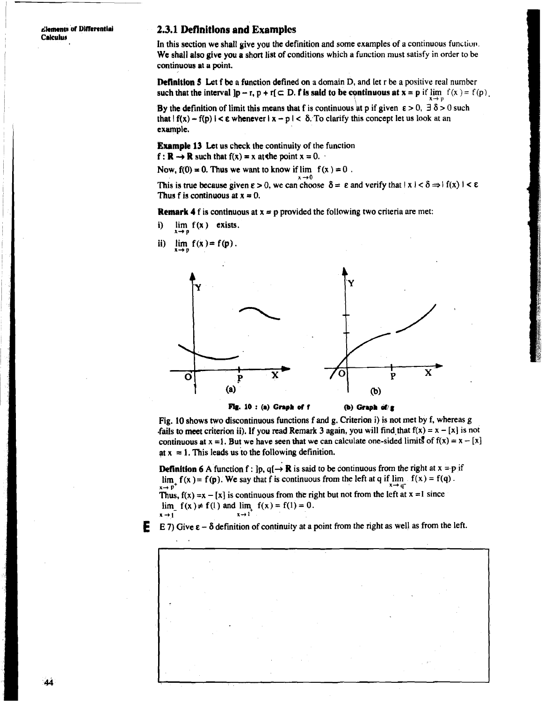clements of Differential **Calculus** 

### **2.3.1 Deflnitlons and Examplcs**

In this section we shall give you the definition and some examples of a continuous function. We shall also give you a short list of conditions which a function must satisfy in order to be continuous at a point.

**Definition 5** Let f be a function defined on a domain D, and let r be a positive real number such that the interval  $\mathbf{p} - \mathbf{r}$ ,  $\mathbf{p} + \mathbf{r} \subset \mathbf{D}$ . **f** is said to be continuous at  $\mathbf{x} = \mathbf{p}$  if  $\lim_{x \to p} f(x) = f(p)$ .

By the definition of limit this means that f is continuous at p if given  $\varepsilon > 0$ ,  $\exists \delta > 0$  such that  $| f(x) - f(p) | < \varepsilon$  whenever  $|x - p| < \delta$ . To clarify this concept let us look at an example,

**Example 13** Let us check the continuity of the function

 $f: \mathbb{R} \to \mathbb{R}$  such that  $f(x) = x$  at the point  $x = 0$ .

Now,  $f(0) = 0$ . Thus we want to know if  $\lim f(x) = 0$ .

This is true because given  $\varepsilon > 0$ , we can choose  $\delta = \varepsilon$  and verify that  $|x| < \delta \Rightarrow |f(x)| < \varepsilon$ Thus f is continuous at  $x = 0$ .

 $x \rightarrow 0$ 

**Remark 4** f is continuous at  $x = p$  provided the following two criteria are met:

- i)  $\lim_{x \to p} f(x)$  exists.
- ii)  $\lim_{x \to b} f(x) = f(p)$ .



Fig. 10 shows two discontinuous functions f and g. Criterion i) is not met by f, whereas g

fails to meet criterion ii). If you read Remark 3 again, you will find that  $f(x) = x - [x]$  is not continuous at  $x = 1$ . But we have seen that we can calculate one-sided limits of  $f(x) = x - [x]$ at  $x = 1$ . This leads us to the following definition.

**Definition 6** A function f :  $\mathbf{p}, \mathbf{q} \rightarrow \mathbf{R}$  is said to be continuous from the right at  $x = p$  if  $\lim_{x \to p^+} f(x) = f(p)$ . We say that f is continuous from the left at q if  $\lim_{x \to q^-} f(x) = f(q)$ . Thus,  $f(x) = x - [x]$  is continuous from the right but not from the left at  $x = 1$  since lim<sub>-</sub>  $f(x) \neq f(1)$  and lim<sub>+</sub>  $f(x) = f(1) = 0$ .

 $\bar{x} \rightarrow 1$ 

**<sup>E</sup>**E 7) Give **E** - **6** definition of continuity at a point from the right as well as from the left.

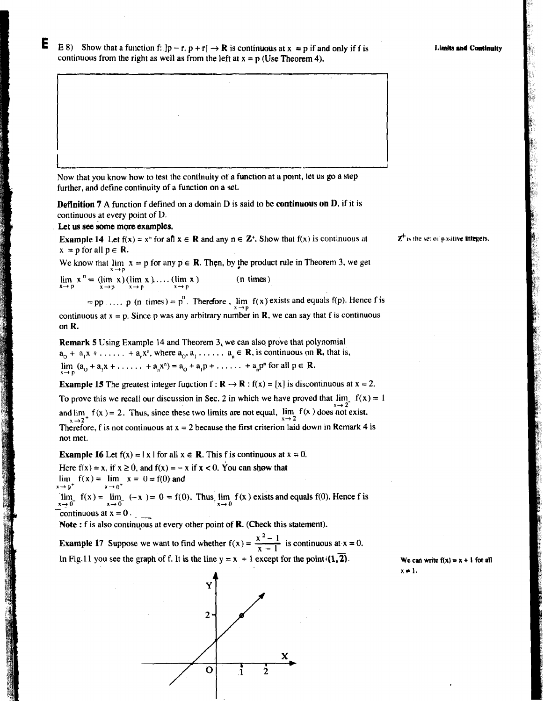Е

|<br>|-

E 8) Show that a function f:  $|p - r, p + r| \rightarrow \mathbb{R}$  is continuous at  $x = p$  if and only if f is continuous from the right as well as from the left at  $x = p$  (Use Theorem 4).

Now that you know how to test the continuity of a function at a potnt, let us go a step further, and define continuity of a function on a set.

**Definition 7 A** function f defined on a domain **D** is said to be **continuous on D,** if it is continuous at every point of D.

Let **us see some more** examples.

**Example 14** Let  $f(x) = x^n$  for an  $x \in \mathbb{R}$  and any  $n \in \mathbb{Z}^+$ . Show that  $f(x)$  is continuous at  $x = p$  for all  $p \in R$ .

We know that  $\lim_{x \to \infty} x = p$  for any  $p \in \mathbb{R}$ . Then, by the product rule in Theorem 3, we get

 $\lim_{x \to p} x^n = (\lim_{x \to p} x)(\lim_{x \to p} x) \dots (\lim_{x \to p} x)$  (n times)

 $=$ **pp** ..... **p** (n times) = **p**<sup>n</sup>. Therefore,  $\lim_{x \to 0}$  **f**(x) exists and equals f(p). Hence f is continuous at  $x = p$ . Since p was any arbitrary number in **R**, we can say that f is continuous on **R.** 

**Remark 5 Using Example 14 and Theorem 3, we can also prove that polynomial**  $a_0 + a_1x + \ldots + a_nx^n$ , where  $a_0, a_1, \ldots, a_n \in \mathbb{R}$ , is continuous on  $\mathbb{R}$ , that is,  $\lim_{x \to p} (a_0 + a_1 x + \dots + a_n x^n) = a_0 + a_1 p + \dots + a_n p^n$  for all  $p \in \mathbb{R}$ .

**Example 15** The greatest integer function  $f : \mathbb{R} \to \mathbb{R} : f(x) = [x]$  is discontinuous at  $x = 2$ . To prove this we recall our discussion in Sec. 2 in which we have proved that  $\lim_{x \to 1} f(x) = 1$ and  $\lim_{x \to 2^+} f(x) = 2$ . Thus, since these two limits are not equal,  $\lim_{x \to 2} f(x)$  does not exist. Therefore, f is not continuous at  $x = 2$  because the first criterion laid down in Remark 4 is not met.

**Example 16** Let  $f(x) = |x|$  for all  $x \in \mathbb{R}$ . This f is continuous at  $x = 0$ .

Here  $f(x) = x$ , if  $x \ge 0$ , and  $f(x) = -x$  if  $x < 0$ . You can show that  $\lim_{x \to 0^+} f(x) = \lim_{x \to 0^+} x = 0 = f(0)$  and  $x \rightarrow 0$ <sup>\*</sup>

 $\lim_{x \to 0^-} f(x) = \lim_{x \to 0} (-x) = 0 = f(0)$ . Thus  $\lim_{x \to 0} f(x)$  exists and equals f(0). Hence f is continuous at  $x = 0$ .

**Note** : f is also continuous at every other point of R. (Check this statement).

**Example 17** Suppose we want to find whether  $f(x) = \frac{x^2 - 1}{x - 1}$  is continuous at  $x = 0$ . In Fig. 11 you see the graph of f. It is the line  $y = x + 1$  except for the point  $(1, 2)$ .



 $\mathbf{Z}^{\dagger}$  is the set of positive **integers.** 

We can write  $f(x) = x + 1$  for all  $x \neq 1$ .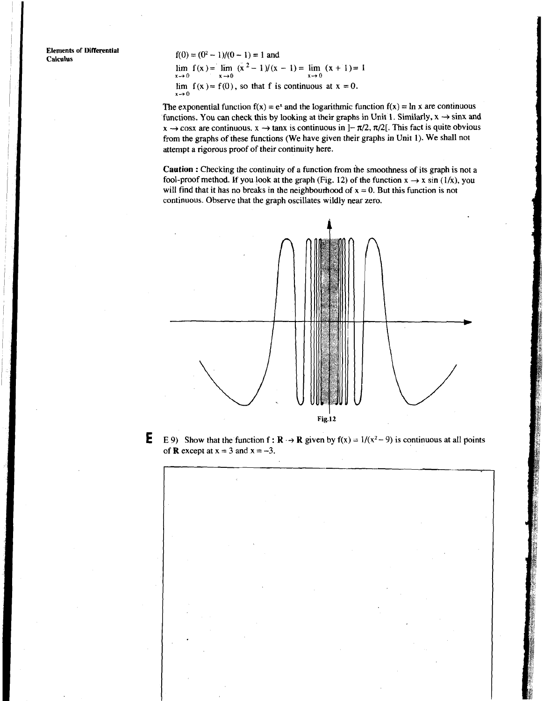**Elements of Differential<br>Calculus** 

 $f(0) = (0^2 - 1)/(0 - 1) = 1$  and

 $\lim_{x \to 0} f(x) = \lim_{x \to 0} (x^2 - 1)/(x - 1) = \lim_{x \to 0} (x + 1) = 1$ lim  $f(x) = f(0)$ , so that f is continuous at  $x = 0$ .  $x \rightarrow 0$ 

The exponential function  $f(x) = e^x$  and the logarithmic function  $f(x) = \ln x$  are continuous functions. You can check this by looking at their graphs in Unit 1. Similarly,  $x \rightarrow \sin x$  and  $x \rightarrow \cos x$  are continuous.  $x \rightarrow \tan x$  is continuous in  $]-\pi/2$ ,  $\pi/2[$ . This fact is quite obvious from the graphs of these functions (We have given their graphs in Unit **1).** We shall not attempt a rigorous proof of their continuity here.

**Caution** : Checking the continuity of a function from the smoothness of its graph is not a fool-proof method. If you look at the graph (Fig. 12) of the function  $x \rightarrow x \sin(1/x)$ , you will find that it has no breaks in the neighbourhood of  $x = 0$ . But this function is not continuous. Observe that the graph oscillates wildly near zero.



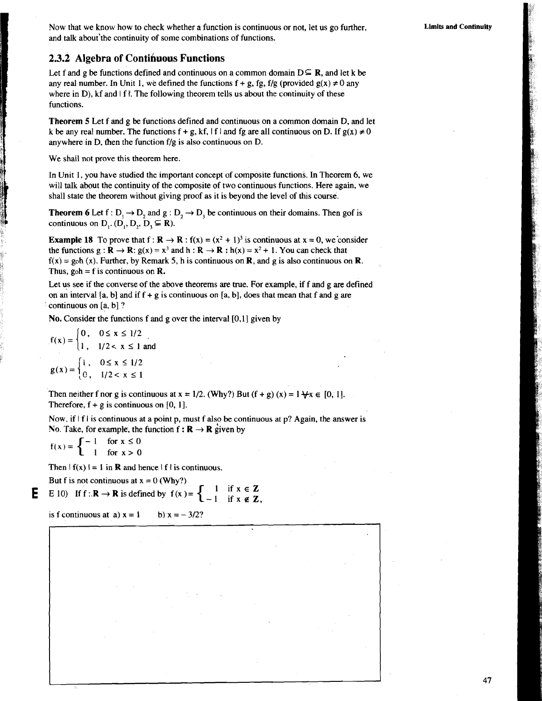Now that we know how to check whether a function is continuous or not, let us go further, and talk about'the continuity of some combinations of functions.

### **2.3.2 Algebra of Contihuous Functions**

Let f and g be functions defined and continuous on a common domain  $D \subseteq \mathbb{R}$ , and let k be any real number. In Unit 1, we defined the functions  $f + g$ , fg, f/g (provided  $g(x) \ne 0$  any where in D),  $kf$  and  $\vert f \vert$ . The following theorem tells us about the continuity of these functions.

**Theorem 5** Let f and g be functions defined and continuous on a common domain D, and let k be any real number. The functions  $f + g$ , kf,  $|f|$  and fg are all continuous on D. If  $g(x) \neq 0$ anywhere in D, then the function f/g is also continuous on D.

We shall not prove this theorem here.

In Unit 1, you have studied the important concept of composite functions. In Theorem 6, we will talk about the continuity of the composite of two continuous functions. Here again, we shall state the theorem without giving proof as it is beyond the level of this course.

**Theorem 6** Let  $f: D_1 \to D_2$  and  $g: D_2 \to D_3$  be continuous on their domains. Then gof is continuous on  $D_1$ .  $(D_1, D_2, D_3 \subseteq R)$ .

**Example 18** To prove that  $f : \mathbb{R} \to \mathbb{R} : f(x) = (x^2 + 1)^3$  is continuous at  $x = 0$ , we consider the functions  $g : \mathbf{R} \to \mathbf{R}$ :  $g(x) = x^3$  and  $h : \mathbf{R} \to \mathbf{R}$ :  $h(x) = x^2 + 1$ . You can check that  $f(x) = g_0 h(x)$ . Further, by Remark 5, h is continuous on **R**, and g is also continuous on **R**. Thus, goh = f is continuous on **R.** 

Let us see if the converse of the above theorems are true. For example, if f and g are defined on an interval [a, b] and if  $f + g$  is continuous on [a, b], does that mean that f and g are continuous on [a, b]?

No. Consider the functions f and g over the interval [0,1] given by

$$
f(x) = \begin{cases} 0, & 0 \le x \le 1/2 \\ 1, & 1/2 < x \le 1 \text{ and} \end{cases}
$$
  
 
$$
g(x) = \begin{cases} 1, & 0 \le x \le 1/2 \\ 0, & 1/2 < x \le 1 \end{cases}
$$

Then neither f nor g is continuous at  $x = 1/2$ . (Why?) But  $(f + g)(x) = 1 + x \in [0, 1]$ . Therefore,  $f + g$  is continuous on [0, 1].

Now, if  $|f|$  is continuous at a point p, must f also be continuous at p? Again, the answer is

No. Take, for example, the function  $f : \mathbf{R} \to \mathbf{R}$  given by<br>  $f(x) = \begin{cases} -1 & \text{for } x \le 0 \\ 1 & \text{for } x > 0 \end{cases}$ 

Then  $|f(x)| = 1$  in **R** and hence  $|f|$  is continuous.

But f is not continuous at  $x = 0$  (Why?)

**E** E 10) If  $f: \mathbb{R} \to \mathbb{R}$  is defined by  $f(x) = \begin{cases} 1 & \text{if } x \in \mathbb{Z} \\ -1 & \text{if } x \notin \mathbb{Z} \end{cases}$ 

is f continuous at a)  $x = 1$  b)  $x = -3/2$ ?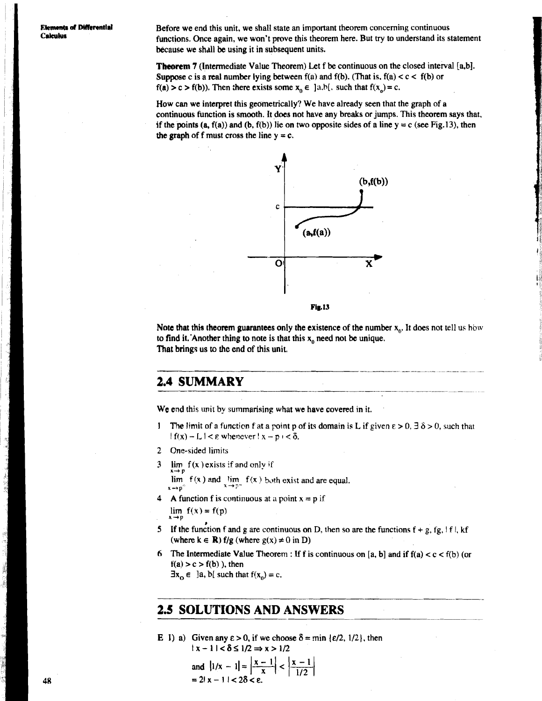**Elements of DW erential Before we end this unit, we shall state an important theorem concerning continuous**<br>**Calculus Calculus Cunctions** Chose again we won't prove this theorem here. But try to understand its s functions. Once again, we won't prove this theorem here. But try to understand its statement because we shdll be using it in subsequent units.

> **Theorem** 7 (Intermediate Value Theorem) Let f be continuous on the closed interval [a,b]. Suppose c is a real number lying between  $f(a)$  and  $f(b)$ . (That is,  $f(a) < c < f(b)$  or  $f(a) > c > f(b)$ ). Then there exists some  $x_0 \in ]a,b[$ , such that  $f(x_0) = c$ .

How can we interpret this geometrically? We have already seen that the graph of a continuous function is smooth. It does not have any breaks or jumps. This theorem says that, if the points  $(a, f(a))$  and  $(b, f(b))$  lie on two opposite sides of a line  $y = c$  (see Fig.13), then the graph of f must cross the line  $y = c$ .



#### **Fig.13**

Note that this theorem guarantees only the existence of the number  $x_0$ . It does not tell us how to find it. Another thing to note is that this  $x_0$  need not be unique. That brings us to the end of this unit.

# **2.4 SUMMARY**

We end this unit by summarising what we have covered in it.

- **I** The limit of a function f at a point p of its domain is L if given  $\epsilon > 0$ ,  $\exists \delta > 0$ , such that  $|f(x) - L| < \varepsilon$  whenever  $|x - p| < \delta$ .
- 2 One-sided limits
- 3 lirn f **(x )exists** if and only **if**

 $\lim_{x \to p} f(x)$  and  $\lim_{x \to p} f(x)$  both exist and are equal.  $x \rightarrow p^+$  **b**  $x \rightarrow$ 

- **4** A function f is continuous at a point  $x = p$  if  $\lim f(x) = f(p)$
- **X+P** # **5** If the function f and **p** are continuous on D. then so are the functions f + g, **fg,** ! f I, kf (where  $k \in \mathbb{R}$ )  $f/g$  (where  $g(x) \neq 0$  in **D**)
- 6 The Intermediate Value Theorem : If f is continuous on [a, b] and if  $f(a) < c < f(b)$  (or  $f(a) > c > f(b)$ ), then

 $\exists x_{0} \in \exists a, b[$  such that  $f(x_{0}) = c$ .

# **2.5 SOLUTIONS AND ANSWERS**

E 1) a) Given any  $\epsilon > 0$ , if we choose  $\delta = \min \{\epsilon/2, 1/2\}$ , then  $|x-1| < \delta \leq 1/2 \Rightarrow x > 1/2$  $\mathbf{1}$   $\mathbf{1}$   $\mathbf{1}$   $\mathbf{1}$   $\mathbf{1}$   $\mathbf{1}$   $\mathbf{1}$ 

and 
$$
|1/x - 1| = \left|\frac{x-1}{x}\right| < \left|\frac{x-1}{1/2}\right|
$$
  
= 2|x - 1| < 2\delta < \epsilon.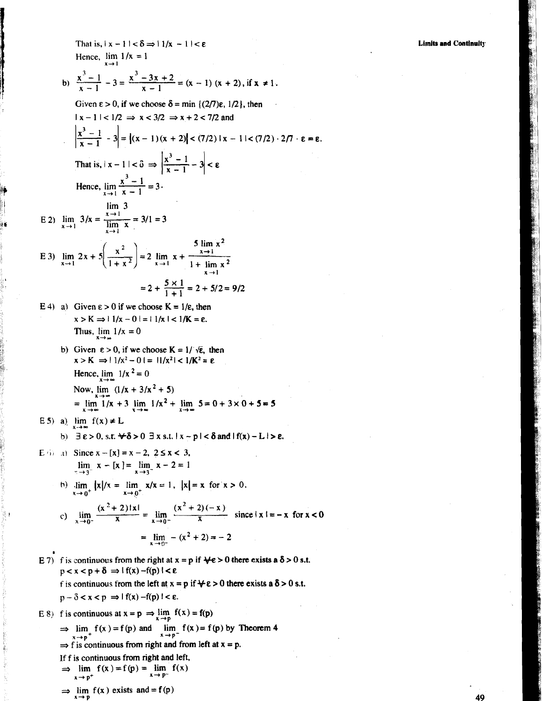That is,  $|x - 1| < \delta \Rightarrow |1/x - 1| < \epsilon$ Hence,  $\lim 1/x = 1$  $x \rightarrow 1$ 

b) 
$$
\frac{x^3-1}{x-1} - 3 = \frac{x^3-3x+2}{x-1} = (x-1)(x+2), \text{ if } x \neq 1.
$$

Given 
$$
\varepsilon > 0
$$
, if we choose  $\delta = \min \{(2/7)\varepsilon, 1/2\}$ , then  
\n $|x - 1| < 1/2 \Rightarrow x < 3/2 \Rightarrow x + 2 < 7/2$  and  
\n $\left|\frac{x^3 - 1}{x - 1} - 3\right| = |(x - 1)(x + 2)| < (7/2) |x - 1| < (7/2) \cdot 2/7 \cdot \varepsilon = \varepsilon$ .  
\nThat is,  $|x - 1| < \delta \Rightarrow \left|\frac{x^3 - 1}{x - 1} - 3\right| < \varepsilon$   
\nHence,  $\lim_{x \to 1} \frac{x^3 - 1}{x - 1} = 3$ .  
\n  
\nE 2)  $\lim_{x \to 1} 3/x = \frac{x - 1}{\lim_{x \to 1} x} = 3/1 = 3$ 

E 2) 
$$
\lim_{x \to 1} 3/x = \frac{\lim_{x \to 1} 3}{\lim_{x \to 1} x} = 3/1 = 3
$$

E 3) 
$$
\lim_{x \to 1} 2x + 5\left(\frac{x^2}{1 + x^2}\right) = 2 \lim_{x \to 1} x + \frac{\frac{5 \lim x^2}{x + 1}}{1 + \lim x^2}
$$

$$
= 2 + \frac{5 \times 1}{1 + 1} = 2 + 5/2 = 9/2
$$

- E 4) a) Given  $\epsilon > 0$  if we choose  $K = 1/\epsilon$ , then  $x > K \implies 1/x - 0 = 1/x < 1/K = \varepsilon.$ Thus,  $\lim_{x \to \infty} 1/x = 0$ 
	- **b)** Given  $\epsilon > 0$ , if we choose  $K = 1/\sqrt{\epsilon}$ , then  $x > K \implies 1/x^2 - 0 = 1/x^2 < 1/K^2 = \varepsilon$ Hence,  $\lim_{x \to \infty} 1/x^2 = 0$ Now,  $\lim_{x \to \infty} (1/x + 3/x^2 + 5)$

$$
= \lim_{x \to \infty} 1/x + 3 \lim_{x \to \infty} 1/x^2 + \lim_{x \to \infty} 5 = 0 + 3 \times 0 + 5 = 5
$$

E 5) a) 
$$
\lim_{x \to \infty} f(x) \neq L
$$
  
b)  $\exists \varepsilon > 0$ , s.t.  $\forall \delta > 0$   $\exists x$  s.t.  $|x - p| < \delta$  and  $|f(x) - L| > \varepsilon$ .

E (i) a) Since 
$$
x - [x] = x - 2
$$
,  $2 \le x < 3$ ,  
\n
$$
\lim_{x \to 3^{-}} x - [x] = \lim_{x \to 3^{-}} x - 2 = 1
$$

b) 
$$
\lim_{x \to 0^+} |x|/x = \lim_{x \to 0^+} x/x = 1, |x| = x \text{ for } x > 0.
$$

 $x \rightarrow 0$ 

c) 
$$
\lim_{x \to 0^-} \frac{(x^2 + 2)|x|}{x} = \lim_{x \to 0^-} \frac{(x^2 + 2)(-x)}{x} \text{ since } |x| = -x \text{ for } x < 0
$$

$$
= \lim_{x \to 0^-} -(x^2 + 2) = -2
$$

**E** 7) f is continuous from the right at  $x = p$  if  $\forall \epsilon > 0$  there exists a  $\delta > 0$  s.t.  $p < x < p + \delta \Rightarrow |f(x) - f(p)| < \varepsilon$ f is continuous from the left at  $x = p$  if  $\forall \epsilon > 0$  there exists a  $\delta > 0$  s.t.  $p - \delta < x < p \implies |f(x) - f(p)| < \varepsilon.$ **E** 8) **f** is continuous at  $x = p \implies \lim_{x \to p} f(x) = f(p)$  $\lim_{x \to p^+} f(x) = f(p)$  and  $\lim_{x \to p^-} f(x) = f(p)$  by Theorem 4  $\Rightarrow$  f is continuous from right and from left at  $x = p$ .

If f is continuous from right and left,  
\n
$$
\Rightarrow \lim_{x \to p^+} f(x) = f(p) = \lim_{x \to p^-} f(x)
$$

 $\Rightarrow \lim_{x \to p} f(x)$  exists and = f(p)

**Limits and Continuity**